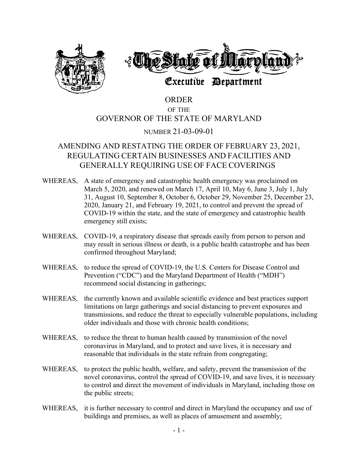

# ORDER OF THE GOVERNOR OF THE STATE OF MARYLAND

### NUMBER 21-03-09-01

## AMENDING AND RESTATING THE ORDER OF FEBRUARY 23, 2021, REGULATING CERTAIN BUSINESSES AND FACILITIES AND GENERALLY REQUIRING USE OF FACE COVERINGS

- WHEREAS, A state of emergency and catastrophic health emergency was proclaimed on March 5, 2020, and renewed on March 17, April 10, May 6, June 3, July 1, July 31, August 10, September 8, October 6, October 29, November 25, December 23, 2020, January 21, and February 19, 2021, to control and prevent the spread of COVID-19 within the state, and the state of emergency and catastrophic health emergency still exists;
- WHEREAS, COVID-19, a respiratory disease that spreads easily from person to person and may result in serious illness or death, is a public health catastrophe and has been confirmed throughout Maryland;
- WHEREAS, to reduce the spread of COVID-19, the U.S. Centers for Disease Control and Prevention ("CDC") and the Maryland Department of Health ("MDH") recommend social distancing in gatherings;
- WHEREAS, the currently known and available scientific evidence and best practices support limitations on large gatherings and social distancing to prevent exposures and transmissions, and reduce the threat to especially vulnerable populations, including older individuals and those with chronic health conditions;
- WHEREAS, to reduce the threat to human health caused by transmission of the novel coronavirus in Maryland, and to protect and save lives, it is necessary and reasonable that individuals in the state refrain from congregating;
- WHEREAS, to protect the public health, welfare, and safety, prevent the transmission of the novel coronavirus, control the spread of COVID-19, and save lives, it is necessary to control and direct the movement of individuals in Maryland, including those on the public streets;
- WHEREAS, it is further necessary to control and direct in Maryland the occupancy and use of buildings and premises, as well as places of amusement and assembly;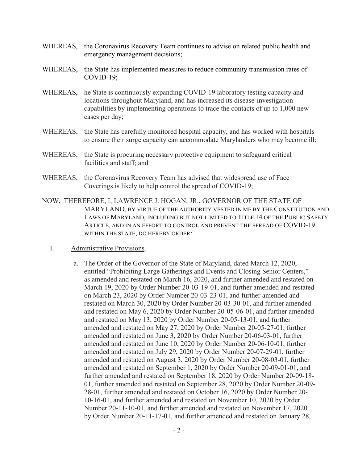- WHEREAS, the Coronavirus Recovery Team continues to advise on related public health and emergency management decisions;
- WHEREAS, the State has implemented measures to reduce community transmission rates of COVID-19;
- WHEREAS, he State is continuously expanding COVID-19 laboratory testing capacity and locations throughout Maryland, and has increased its disease-investigation capabilities by implementing operations to trace the contacts of up to 1,000 new cases per day;
- WHEREAS, the State has carefully monitored hospital capacity, and has worked with hospitals to ensure their surge capacity can accommodate Marylanders who may become ill;
- WHEREAS, the State is procuring necessary protective equipment to safeguard critical facilities and staff; and
- WHEREAS, the Coronavirus Recovery Team has advised that widespread use of Face Coverings is likely to help control the spread of COVID-19;
- NOW, THEREFORE, I, LAWRENCE J. HOGAN, JR., GOVERNOR OF THE STATE OF MARYLAND, BY VIRTUE OF THE AUTHORITY VESTED IN ME BY THE CONSTITUTION AND LAWS OF MARYLAND, INCLUDING BUT NOT LIMITED TO TITLE 14 OF THE PUBLIC SAFETY ARTICLE, AND IN AN EFFORT TO CONTROL AND PREVENT THE SPREAD OF COVID-19 WITHIN THE STATE, DO HEREBY ORDER:
	- I. Administrative Provisions.
		- a. The Order of the Governor of the State of Maryland, dated March 12, 2020, entitled "Prohibiting Large Gatherings and Events and Closing Senior Centers," as amended and restated on March 16, 2020, and further amended and restated on March 19, 2020 by Order Number 20-03-19-01, and further amended and restated on March 23, 2020 by Order Number 20-03-23-01, and further amended and restated on March 30, 2020 by Order Number 20-03-30-01, and further amended and restated on May 6, 2020 by Order Number 20-05-06-01, and further amended and restated on May 13, 2020 by Order Number 20-05-13-01, and further amended and restated on May 27, 2020 by Order Number 20-05-27-01, further amended and restated on June 3, 2020 by Order Number 20-06-03-01, further amended and restated on June 10, 2020 by Order Number 20-06-10-01, further amended and restated on July 29, 2020 by Order Number 20-07-29-01, further amended and restated on August 3, 2020 by Order Number 20-08-03-01, further amended and restated on September 1, 2020 by Order Number 20-09-01-01, and further amended and restated on September 18, 2020 by Order Number 20-09-18- 01, further amended and restated on September 28, 2020 by Order Number 20-09- 28-01, further amended and restated on October 16, 2020 by Order Number 20- 10-16-01, and further amended and restated on November 10, 2020 by Order Number 20-11-10-01, and further amended and restated on November 17, 2020 by Order Number 20-11-17-01, and further amended and restated on January 28,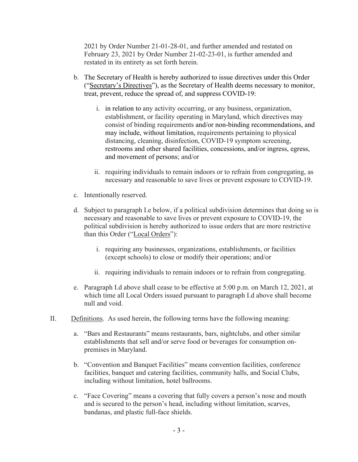2021 by Order Number 21-01-28-01, and further amended and restated on February 23, 2021 by Order Number 21-02-23-01, is further amended and restated in its entirety as set forth herein.

- b. The Secretary of Health is hereby authorized to issue directives under this Order ("Secretary's Directives"), as the Secretary of Health deems necessary to monitor, treat, prevent, reduce the spread of, and suppress COVID-19:
	- i. in relation to any activity occurring, or any business, organization, establishment, or facility operating in Maryland, which directives may consist of binding requirements and/or non-binding recommendations, and may include, without limitation, requirements pertaining to physical distancing, cleaning, disinfection, COVID-19 symptom screening, restrooms and other shared facilities, concessions, and/or ingress, egress, and movement of persons; and/or
	- ii. requiring individuals to remain indoors or to refrain from congregating, as necessary and reasonable to save lives or prevent exposure to COVID-19.
- c. Intentionally reserved.
- d. Subject to paragraph I.e below, if a political subdivision determines that doing so is necessary and reasonable to save lives or prevent exposure to COVID-19, the political subdivision is hereby authorized to issue orders that are more restrictive than this Order ("Local Orders"):
	- i. requiring any businesses, organizations, establishments, or facilities (except schools) to close or modify their operations; and/or
	- ii. requiring individuals to remain indoors or to refrain from congregating.
- e. Paragraph I.d above shall cease to be effective at 5:00 p.m. on March 12, 2021, at which time all Local Orders issued pursuant to paragraph I.d above shall become null and void.
- II. Definitions. As used herein, the following terms have the following meaning:
	- a. "Bars and Restaurants" means restaurants, bars, nightclubs, and other similar establishments that sell and/or serve food or beverages for consumption onpremises in Maryland.
	- b. "Convention and Banquet Facilities" means convention facilities, conference facilities, banquet and catering facilities, community halls, and Social Clubs, including without limitation, hotel ballrooms.
	- c. "Face Covering" means a covering that fully covers a person's nose and mouth and is secured to the person's head, including without limitation, scarves, bandanas, and plastic full-face shields.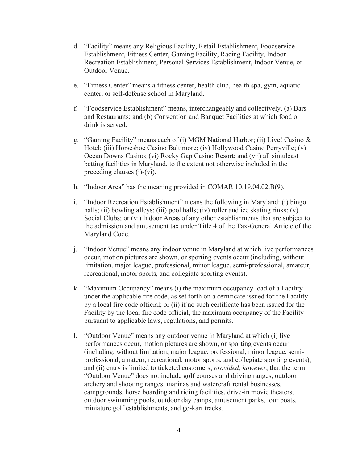- d. "Facility" means any Religious Facility, Retail Establishment, Foodservice Establishment, Fitness Center, Gaming Facility, Racing Facility, Indoor Recreation Establishment, Personal Services Establishment, Indoor Venue, or Outdoor Venue.
- e. "Fitness Center" means a fitness center, health club, health spa, gym, aquatic center, or self-defense school in Maryland.
- f. "Foodservice Establishment" means, interchangeably and collectively, (a) Bars and Restaurants; and (b) Convention and Banquet Facilities at which food or drink is served.
- g. "Gaming Facility" means each of (i) MGM National Harbor; (ii) Live! Casino & Hotel; (iii) Horseshoe Casino Baltimore; (iv) Hollywood Casino Perryville; (v) Ocean Downs Casino; (vi) Rocky Gap Casino Resort; and (vii) all simulcast betting facilities in Maryland, to the extent not otherwise included in the preceding clauses (i)-(vi).
- h. "Indoor Area" has the meaning provided in COMAR 10.19.04.02.B(9).
- i. "Indoor Recreation Establishment" means the following in Maryland: (i) bingo halls; (ii) bowling alleys; (iii) pool halls; (iv) roller and ice skating rinks; (v) Social Clubs; or (vi) Indoor Areas of any other establishments that are subject to the admission and amusement tax under Title 4 of the Tax-General Article of the Maryland Code.
- j. "Indoor Venue" means any indoor venue in Maryland at which live performances occur, motion pictures are shown, or sporting events occur (including, without limitation, major league, professional, minor league, semi-professional, amateur, recreational, motor sports, and collegiate sporting events).
- k. "Maximum Occupancy" means (i) the maximum occupancy load of a Facility under the applicable fire code, as set forth on a certificate issued for the Facility by a local fire code official; or (ii) if no such certificate has been issued for the Facility by the local fire code official, the maximum occupancy of the Facility pursuant to applicable laws, regulations, and permits.
- l. "Outdoor Venue" means any outdoor venue in Maryland at which (i) live performances occur, motion pictures are shown, or sporting events occur (including, without limitation, major league, professional, minor league, semiprofessional, amateur, recreational, motor sports, and collegiate sporting events), and (ii) entry is limited to ticketed customers; *provided, however*, that the term "Outdoor Venue" does not include golf courses and driving ranges, outdoor archery and shooting ranges, marinas and watercraft rental businesses, campgrounds, horse boarding and riding facilities, drive-in movie theaters, outdoor swimming pools, outdoor day camps, amusement parks, tour boats, miniature golf establishments, and go-kart tracks.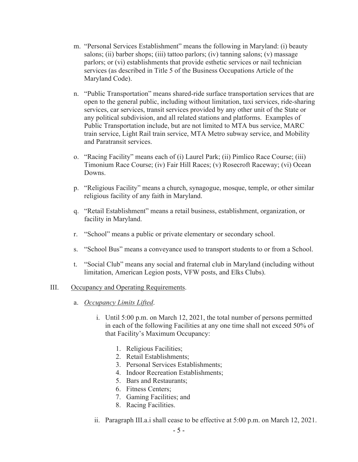- m. "Personal Services Establishment" means the following in Maryland: (i) beauty salons; (ii) barber shops; (iii) tattoo parlors; (iv) tanning salons; (v) massage parlors; or (vi) establishments that provide esthetic services or nail technician services (as described in Title 5 of the Business Occupations Article of the Maryland Code).
- n. "Public Transportation" means shared-ride surface transportation services that are open to the general public, including without limitation, taxi services, ride-sharing services, car services, transit services provided by any other unit of the State or any political subdivision, and all related stations and platforms. Examples of Public Transportation include, but are not limited to MTA bus service, MARC train service, Light Rail train service, MTA Metro subway service, and Mobility and Paratransit services.
- o. "Racing Facility" means each of (i) Laurel Park; (ii) Pimlico Race Course; (iii) Timonium Race Course; (iv) Fair Hill Races; (v) Rosecroft Raceway; (vi) Ocean Downs.
- p. "Religious Facility" means a church, synagogue, mosque, temple, or other similar religious facility of any faith in Maryland.
- q. "Retail Establishment" means a retail business, establishment, organization, or facility in Maryland.
- r. "School" means a public or private elementary or secondary school.
- s. "School Bus" means a conveyance used to transport students to or from a School.
- t. "Social Club" means any social and fraternal club in Maryland (including without limitation, American Legion posts, VFW posts, and Elks Clubs).

#### III. Occupancy and Operating Requirements.

- a. *Occupancy Limits Lifted*.
	- i. Until 5:00 p.m. on March 12, 2021, the total number of persons permitted in each of the following Facilities at any one time shall not exceed 50% of that Facility's Maximum Occupancy:
		- 1. Religious Facilities;
		- 2. Retail Establishments;
		- 3. Personal Services Establishments;
		- 4. Indoor Recreation Establishments;
		- 5. Bars and Restaurants;
		- 6. Fitness Centers;
		- 7. Gaming Facilities; and
		- 8. Racing Facilities.
	- ii. Paragraph III.a.i shall cease to be effective at 5:00 p.m. on March 12, 2021.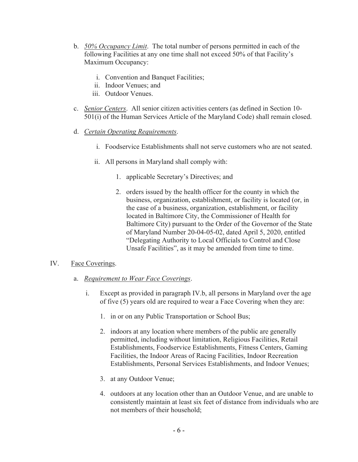- b. *50% Occupancy Limit*. The total number of persons permitted in each of the following Facilities at any one time shall not exceed 50% of that Facility's Maximum Occupancy:
	- i. Convention and Banquet Facilities;
	- ii. Indoor Venues; and
	- iii. Outdoor Venues.
- c. *Senior Centers*. All senior citizen activities centers (as defined in Section 10- 501(i) of the Human Services Article of the Maryland Code) shall remain closed.
- d. *Certain Operating Requirements*.
	- i. Foodservice Establishments shall not serve customers who are not seated.
	- ii. All persons in Maryland shall comply with:
		- 1. applicable Secretary's Directives; and
		- 2. orders issued by the health officer for the county in which the business, organization, establishment, or facility is located (or, in the case of a business, organization, establishment, or facility located in Baltimore City, the Commissioner of Health for Baltimore City) pursuant to the Order of the Governor of the State of Maryland Number 20-04-05-02, dated April 5, 2020, entitled "Delegating Authority to Local Officials to Control and Close Unsafe Facilities", as it may be amended from time to time.

#### IV. Face Coverings.

- a. *Requirement to Wear Face Coverings*.
	- i. Except as provided in paragraph IV.b, all persons in Maryland over the age of five (5) years old are required to wear a Face Covering when they are:
		- 1. in or on any Public Transportation or School Bus;
		- 2. indoors at any location where members of the public are generally permitted, including without limitation, Religious Facilities, Retail Establishments, Foodservice Establishments, Fitness Centers, Gaming Facilities, the Indoor Areas of Racing Facilities, Indoor Recreation Establishments, Personal Services Establishments, and Indoor Venues;
		- 3. at any Outdoor Venue;
		- 4. outdoors at any location other than an Outdoor Venue, and are unable to consistently maintain at least six feet of distance from individuals who are not members of their household;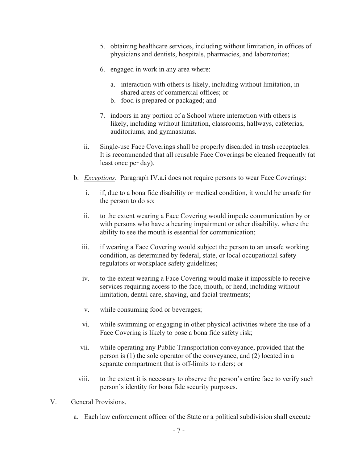- 5. obtaining healthcare services, including without limitation, in offices of physicians and dentists, hospitals, pharmacies, and laboratories;
- 6. engaged in work in any area where:
	- a. interaction with others is likely, including without limitation, in shared areas of commercial offices; or
	- b. food is prepared or packaged; and
- 7. indoors in any portion of a School where interaction with others is likely, including without limitation, classrooms, hallways, cafeterias, auditoriums, and gymnasiums.
- ii. Single-use Face Coverings shall be properly discarded in trash receptacles. It is recommended that all reusable Face Coverings be cleaned frequently (at least once per day).
- b. *Exceptions*. Paragraph IV.a.i does not require persons to wear Face Coverings:
	- i. if, due to a bona fide disability or medical condition, it would be unsafe for the person to do so;
	- ii. to the extent wearing a Face Covering would impede communication by or with persons who have a hearing impairment or other disability, where the ability to see the mouth is essential for communication;
	- iii. if wearing a Face Covering would subject the person to an unsafe working condition, as determined by federal, state, or local occupational safety regulators or workplace safety guidelines;
	- iv. to the extent wearing a Face Covering would make it impossible to receive services requiring access to the face, mouth, or head, including without limitation, dental care, shaving, and facial treatments;
	- v. while consuming food or beverages;
	- vi. while swimming or engaging in other physical activities where the use of a Face Covering is likely to pose a bona fide safety risk;
	- vii. while operating any Public Transportation conveyance, provided that the person is (1) the sole operator of the conveyance, and (2) located in a separate compartment that is off-limits to riders; or
	- viii. to the extent it is necessary to observe the person's entire face to verify such person's identity for bona fide security purposes.
- V. General Provisions.
	- a. Each law enforcement officer of the State or a political subdivision shall execute